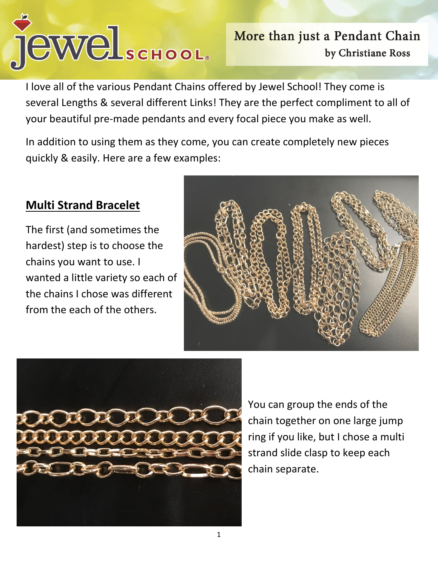

I love all of the various Pendant Chains offered by Jewel School! They come is several Lengths & several different Links! They are the perfect compliment to all of your beautiful pre-made pendants and every focal piece you make as well.

In addition to using them as they come, you can create completely new pieces quickly & easily. Here are a few examples:

## **Multi Strand Bracelet**

The first (and sometimes the hardest) step is to choose the chains you want to use. I wanted a little variety so each of the chains I chose was different from the each of the others.





You can group the ends of the chain together on one large jump ring if you like, but I chose a multi strand slide clasp to keep each chain separate.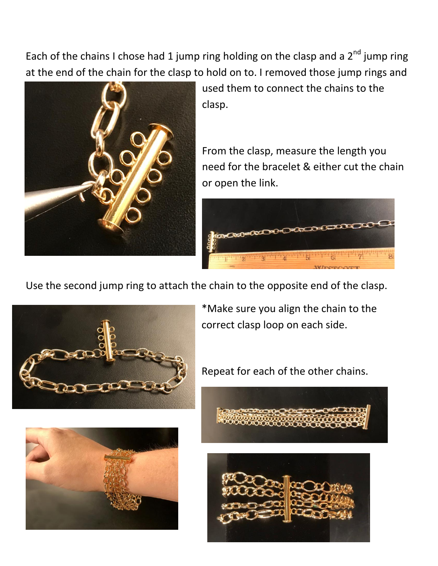Each of the chains I chose had 1 jump ring holding on the clasp and a  $2^{nd}$  jump ring at the end of the chain for the clasp to hold on to. I removed those jump rings and



used them to connect the chains to the clasp.

From the clasp, measure the length you need for the bracelet & either cut the chain or open the link.



Use the second jump ring to attach the chain to the opposite end of the clasp.



\*Make sure you align the chain to the correct clasp loop on each side.



Repeat for each of the other chains.





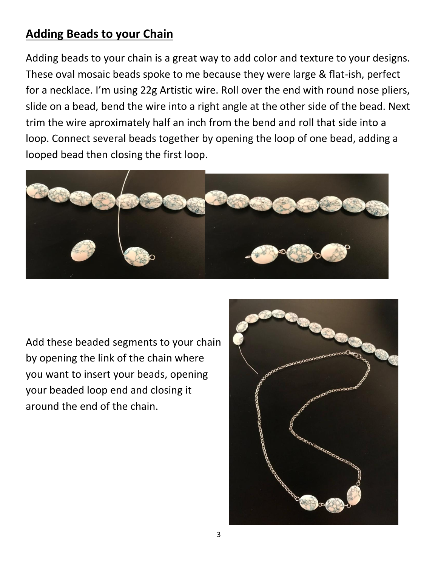## **Adding Beads to your Chain**

Adding beads to your chain is a great way to add color and texture to your designs. These oval mosaic beads spoke to me because they were large & flat-ish, perfect for a necklace. I'm using 22g Artistic wire. Roll over the end with round nose pliers, slide on a bead, bend the wire into a right angle at the other side of the bead. Next trim the wire aproximately half an inch from the bend and roll that side into a loop. Connect several beads together by opening the loop of one bead, adding a looped bead then closing the first loop.



Add these beaded segments to your chain by opening the link of the chain where you want to insert your beads, opening your beaded loop end and closing it around the end of the chain.